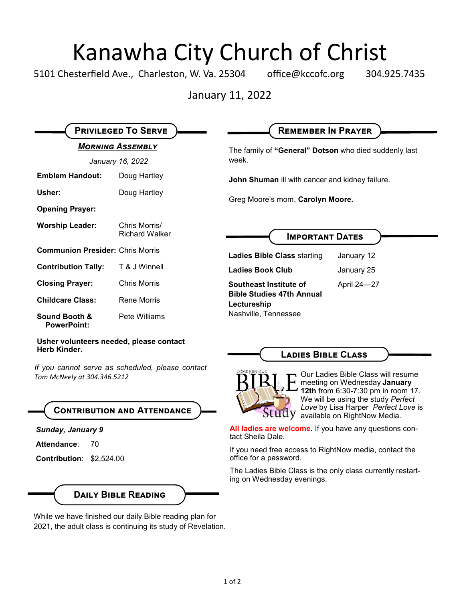## Kanawha City Church of Christ

5101 Chesterfield Ave., Charleston, W. Va. 25304 office@kccofc.org 304.925.7435

January 11, 2022

| <b>PRIVILEGED TO SERVE</b>                     |                                        | <b>REMEMBER IN PRAYER</b>                                                                         |             |  |
|------------------------------------------------|----------------------------------------|---------------------------------------------------------------------------------------------------|-------------|--|
| <b>MORNING ASSEMBLY</b>                        |                                        | The family of "General" Dotson who died suddenly last<br>week.                                    |             |  |
| January 16, 2022                               |                                        |                                                                                                   |             |  |
| <b>Emblem Handout:</b>                         | Doug Hartley                           | <b>John Shuman</b> ill with cancer and kidney failure.                                            |             |  |
| Usher:                                         | Doug Hartley                           | Greg Moore's mom, Carolyn Moore.                                                                  |             |  |
| <b>Opening Prayer:</b>                         |                                        |                                                                                                   |             |  |
| <b>Worship Leader:</b>                         | Chris Morris/<br><b>Richard Walker</b> | <b>IMPORTANT DATES</b>                                                                            |             |  |
| <b>Communion Presider: Chris Morris</b>        |                                        | <b>Ladies Bible Class starting</b>                                                                | January 12  |  |
| <b>Contribution Tally:</b>                     | T & J Winnell                          | <b>Ladies Book Club</b>                                                                           | January 25  |  |
| <b>Closing Prayer:</b>                         | <b>Chris Morris</b>                    | Southeast Institute of<br><b>Bible Studies 47th Annual</b><br>Lectureship<br>Nashville, Tennessee | April 24-27 |  |
| <b>Childcare Class:</b>                        | <b>Rene Morris</b>                     |                                                                                                   |             |  |
| <b>Sound Booth &amp;</b><br><b>PowerPoint:</b> | Pete Williams                          |                                                                                                   |             |  |

#### **Usher volunteers needed, please contact Herb Kinder.**

*If you cannot serve as scheduled, please contact Tom McNeely at 304.346.5212*



*Sunday, January 9*

Attendance: 70

**Contribution**: \$2,524.00



While we have finished our daily Bible reading plan for 2021, the adult class is continuing its study of Revelation.

### **Ladies Bible Class**



Our Ladies Bible Class will resume meeting on Wednesday **January 12th** from 6:30-7:30 pm in room 17. We will be using the study *Perfect Love* by Lisa Harper *Perfect Love* is Study available on RightNow Media.

**All ladies are welcome.** If you have any questions contact Sheila Dale.

If you need free access to RightNow media, contact the office for a password.

The Ladies Bible Class is the only class currently restarting on Wednesday evenings.